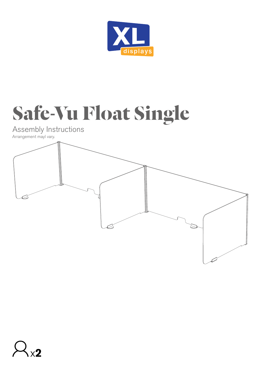

## **Safe-Vu Float Single**

Assembly Instructions



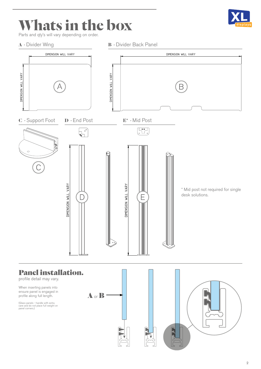## **Whats in the box**

Parts and qty's will vary depending on order.

**A** - Divider Wing **B** - Divider Back Panel



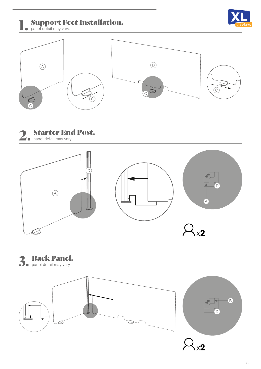Support Feet Installation.

**1.** Support **Re** panel detail may vary.











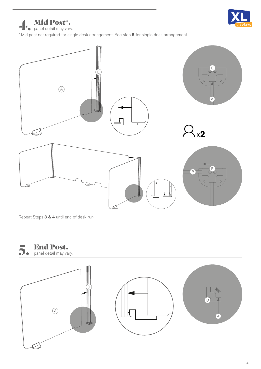

Mid Post\*. **1.** Mid Post<sup>\*</sup>.

\* Mid post not required for single desk arrangement. See step **5** for single desk arrangement.



Repeat Steps **3 & 4** until end of desk run.